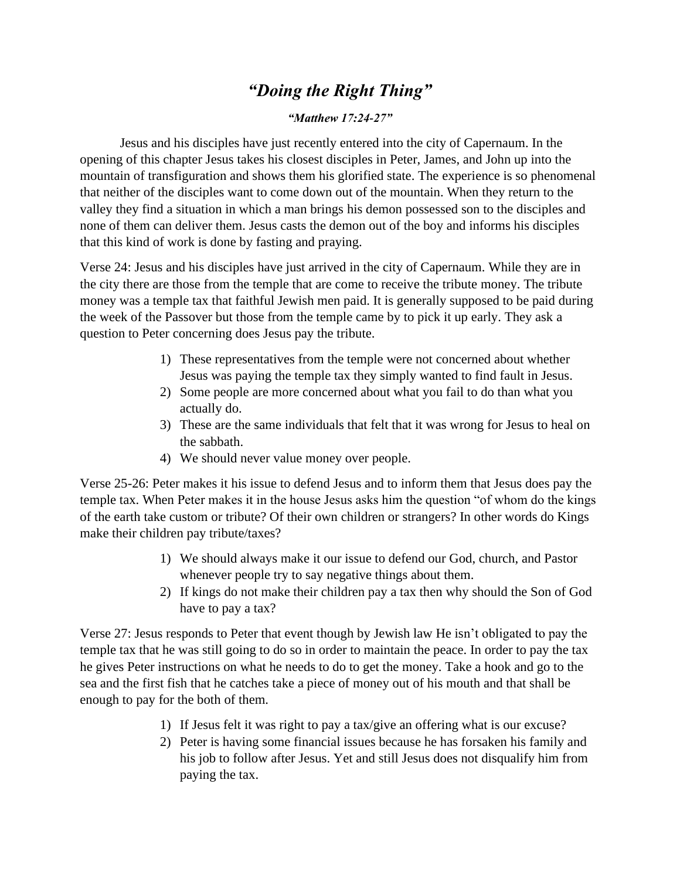## *"Doing the Right Thing"*

## *"Matthew 17:24-27"*

Jesus and his disciples have just recently entered into the city of Capernaum. In the opening of this chapter Jesus takes his closest disciples in Peter, James, and John up into the mountain of transfiguration and shows them his glorified state. The experience is so phenomenal that neither of the disciples want to come down out of the mountain. When they return to the valley they find a situation in which a man brings his demon possessed son to the disciples and none of them can deliver them. Jesus casts the demon out of the boy and informs his disciples that this kind of work is done by fasting and praying.

Verse 24: Jesus and his disciples have just arrived in the city of Capernaum. While they are in the city there are those from the temple that are come to receive the tribute money. The tribute money was a temple tax that faithful Jewish men paid. It is generally supposed to be paid during the week of the Passover but those from the temple came by to pick it up early. They ask a question to Peter concerning does Jesus pay the tribute.

- 1) These representatives from the temple were not concerned about whether Jesus was paying the temple tax they simply wanted to find fault in Jesus.
- 2) Some people are more concerned about what you fail to do than what you actually do.
- 3) These are the same individuals that felt that it was wrong for Jesus to heal on the sabbath.
- 4) We should never value money over people.

Verse 25-26: Peter makes it his issue to defend Jesus and to inform them that Jesus does pay the temple tax. When Peter makes it in the house Jesus asks him the question "of whom do the kings of the earth take custom or tribute? Of their own children or strangers? In other words do Kings make their children pay tribute/taxes?

- 1) We should always make it our issue to defend our God, church, and Pastor whenever people try to say negative things about them.
- 2) If kings do not make their children pay a tax then why should the Son of God have to pay a tax?

Verse 27: Jesus responds to Peter that event though by Jewish law He isn't obligated to pay the temple tax that he was still going to do so in order to maintain the peace. In order to pay the tax he gives Peter instructions on what he needs to do to get the money. Take a hook and go to the sea and the first fish that he catches take a piece of money out of his mouth and that shall be enough to pay for the both of them.

- 1) If Jesus felt it was right to pay a tax/give an offering what is our excuse?
- 2) Peter is having some financial issues because he has forsaken his family and his job to follow after Jesus. Yet and still Jesus does not disqualify him from paying the tax.